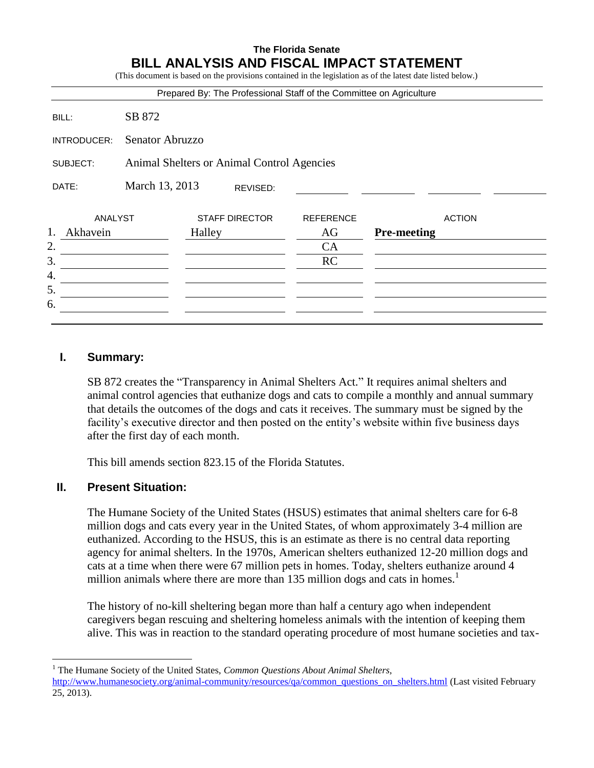#### **The Florida Senate BILL ANALYSIS AND FISCAL IMPACT STATEMENT** (This document is based on the provisions contained in the legislation as of the latest date listed below.)

|                |                                            |        |                       | Prepared By: The Professional Staff of the Committee on Agriculture |                    |               |
|----------------|--------------------------------------------|--------|-----------------------|---------------------------------------------------------------------|--------------------|---------------|
| BILL:          | SB 872                                     |        |                       |                                                                     |                    |               |
| INTRODUCER:    | Senator Abruzzo                            |        |                       |                                                                     |                    |               |
| SUBJECT:       | Animal Shelters or Animal Control Agencies |        |                       |                                                                     |                    |               |
| DATE:          | March 13, 2013                             |        | REVISED:              |                                                                     |                    |               |
| <b>ANALYST</b> |                                            |        | <b>STAFF DIRECTOR</b> | <b>REFERENCE</b>                                                    |                    | <b>ACTION</b> |
| 1.<br>Akhavein |                                            | Halley |                       | AG                                                                  | <b>Pre-meeting</b> |               |
|                |                                            |        |                       | CA                                                                  |                    |               |
|                |                                            |        |                       | <b>RC</b>                                                           |                    |               |
| 4.             |                                            |        |                       |                                                                     |                    |               |
| 5.             |                                            |        |                       |                                                                     |                    |               |
| 6.             |                                            |        |                       |                                                                     |                    |               |

### **I. Summary:**

SB 872 creates the "Transparency in Animal Shelters Act." It requires animal shelters and animal control agencies that euthanize dogs and cats to compile a monthly and annual summary that details the outcomes of the dogs and cats it receives. The summary must be signed by the facility's executive director and then posted on the entity's website within five business days after the first day of each month.

This bill amends section 823.15 of the Florida Statutes.

### **II. Present Situation:**

 $\overline{a}$ 

The Humane Society of the United States (HSUS) estimates that animal shelters care for 6-8 million dogs and cats every year in the United States, of whom approximately 3-4 million are euthanized. According to the HSUS, this is an estimate as there is no central data reporting agency for animal shelters. In the 1970s, American shelters euthanized 12-20 million dogs and cats at a time when there were 67 million pets in homes. Today, shelters euthanize around 4 million animals where there are more than 135 million dogs and cats in homes.<sup>1</sup>

The history of no-kill sheltering began more than half a century ago when independent caregivers began rescuing and sheltering homeless animals with the intention of keeping them alive. This was in reaction to the standard operating procedure of most humane societies and tax-

<sup>1</sup> The Humane Society of the United States, *Common Questions About Animal Shelters,* [http://www.humanesociety.org/animal-community/resources/qa/common\\_questions\\_on\\_shelters.html](http://www.humanesociety.org/animal-community/resources/qa/common_questions_on_shelters.html) (Last visited February 25, 2013).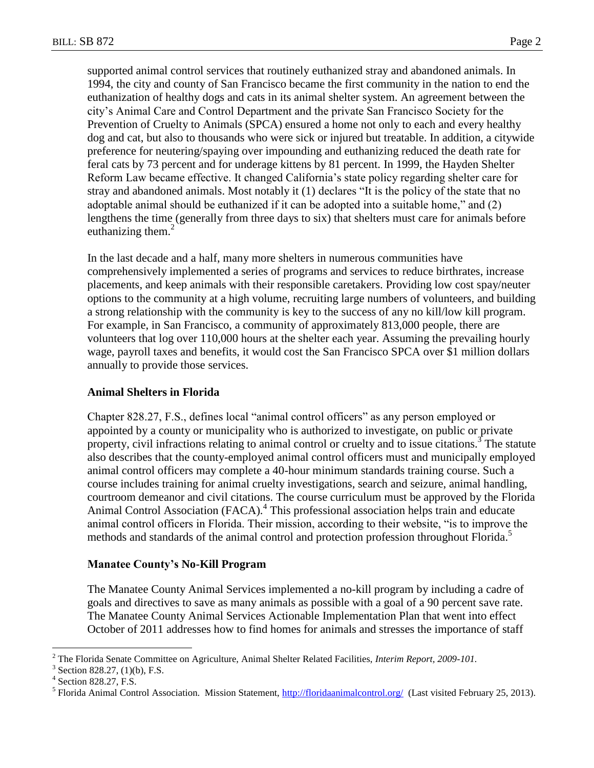supported animal control services that routinely euthanized stray and abandoned animals. In 1994, the city and county of San Francisco became the first community in the nation to end the euthanization of healthy dogs and cats in its animal shelter system. An agreement between the city's Animal Care and Control Department and the private San Francisco Society for the Prevention of Cruelty to Animals (SPCA) ensured a home not only to each and every healthy dog and cat, but also to thousands who were sick or injured but treatable. In addition, a citywide preference for neutering/spaying over impounding and euthanizing reduced the death rate for feral cats by 73 percent and for underage kittens by 81 percent. In 1999, the Hayden Shelter Reform Law became effective. It changed California's state policy regarding shelter care for stray and abandoned animals. Most notably it (1) declares "It is the policy of the state that no adoptable animal should be euthanized if it can be adopted into a suitable home," and (2) lengthens the time (generally from three days to six) that shelters must care for animals before euthanizing them. $2$ 

In the last decade and a half, many more shelters in numerous communities have comprehensively implemented a series of programs and services to reduce birthrates, increase placements, and keep animals with their responsible caretakers. Providing low cost spay/neuter options to the community at a high volume, recruiting large numbers of volunteers, and building a strong relationship with the community is key to the success of any no kill/low kill program. For example, in San Francisco, a community of approximately 813,000 people, there are volunteers that log over 110,000 hours at the shelter each year. Assuming the prevailing hourly wage, payroll taxes and benefits, it would cost the San Francisco SPCA over \$1 million dollars annually to provide those services.

### **Animal Shelters in Florida**

Chapter 828.27, F.S., defines local "animal control officers" as any person employed or appointed by a county or municipality who is authorized to investigate, on public or private property, civil infractions relating to animal control or cruelty and to issue citations.<sup>3</sup> The statute also describes that the county-employed animal control officers must and municipally employed animal control officers may complete a 40-hour minimum standards training course. Such a course includes training for animal cruelty investigations, search and seizure, animal handling, courtroom demeanor and civil citations. The course curriculum must be approved by the Florida Animal Control Association (FACA).<sup>4</sup> This professional association helps train and educate animal control officers in Florida. Their mission, according to their website, "is to improve the methods and standards of the animal control and protection profession throughout Florida. 5

#### **Manatee County's No-Kill Program**

The Manatee County Animal Services implemented a no-kill program by including a cadre of goals and directives to save as many animals as possible with a goal of a 90 percent save rate. The Manatee County Animal Services Actionable Implementation Plan that went into effect October of 2011 addresses how to find homes for animals and stresses the importance of staff

 $\overline{a}$ 

<sup>2</sup> The Florida Senate Committee on Agriculture, Animal Shelter Related Facilities, *Interim Report, 2009-101.*

<sup>3</sup> Section 828.27, (1)(b), F.S.

<sup>4</sup> Section 828.27, F.S.

<sup>&</sup>lt;sup>5</sup> Florida Animal Control Association. Mission Statement, *http://floridaanimalcontrol.org/* (Last visited February 25, 2013).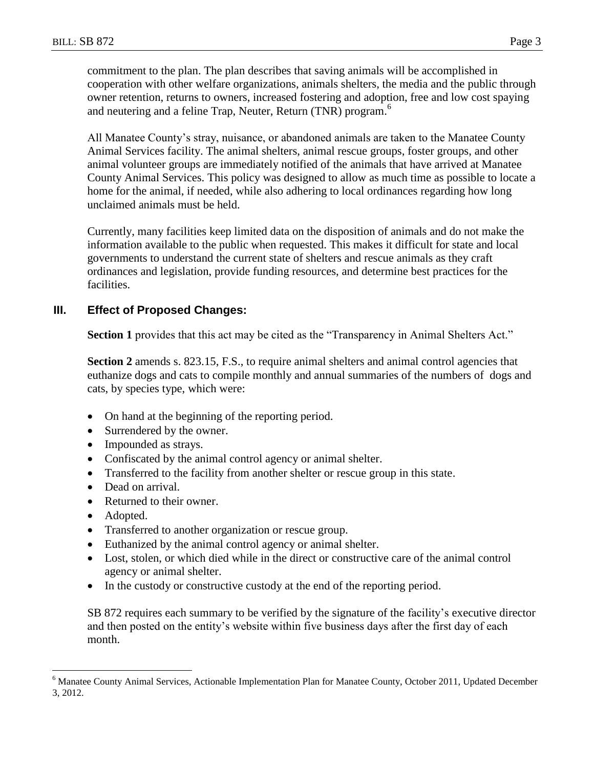commitment to the plan. The plan describes that saving animals will be accomplished in cooperation with other welfare organizations, animals shelters, the media and the public through owner retention, returns to owners, increased fostering and adoption, free and low cost spaying and neutering and a feline Trap, Neuter, Return (TNR) program.<sup>6</sup>

All Manatee County's stray, nuisance, or abandoned animals are taken to the Manatee County Animal Services facility. The animal shelters, animal rescue groups, foster groups, and other animal volunteer groups are immediately notified of the animals that have arrived at Manatee County Animal Services. This policy was designed to allow as much time as possible to locate a home for the animal, if needed, while also adhering to local ordinances regarding how long unclaimed animals must be held.

Currently, many facilities keep limited data on the disposition of animals and do not make the information available to the public when requested. This makes it difficult for state and local governments to understand the current state of shelters and rescue animals as they craft ordinances and legislation, provide funding resources, and determine best practices for the facilities.

### **III. Effect of Proposed Changes:**

**Section 1** provides that this act may be cited as the "Transparency in Animal Shelters Act."

**Section 2** amends s. 823.15, F.S., to require animal shelters and animal control agencies that euthanize dogs and cats to compile monthly and annual summaries of the numbers of dogs and cats, by species type, which were:

- On hand at the beginning of the reporting period.
- Surrendered by the owner.
- Impounded as strays.
- Confiscated by the animal control agency or animal shelter.
- Transferred to the facility from another shelter or rescue group in this state.
- Dead on arrival.
- Returned to their owner.
- Adopted.

 $\overline{a}$ 

- Transferred to another organization or rescue group.
- Euthanized by the animal control agency or animal shelter.
- Lost, stolen, or which died while in the direct or constructive care of the animal control agency or animal shelter.
- In the custody or constructive custody at the end of the reporting period.

SB 872 requires each summary to be verified by the signature of the facility's executive director and then posted on the entity's website within five business days after the first day of each month.

<sup>6</sup> Manatee County Animal Services, Actionable Implementation Plan for Manatee County, October 2011, Updated December 3, 2012.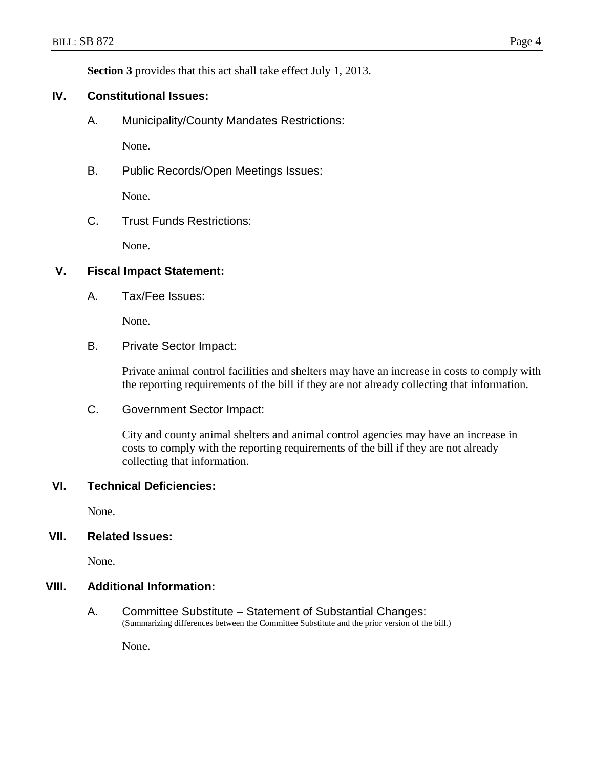**Section 3** provides that this act shall take effect July 1, 2013.

### **IV. Constitutional Issues:**

A. Municipality/County Mandates Restrictions:

None.

B. Public Records/Open Meetings Issues:

None.

C. Trust Funds Restrictions:

None.

## **V. Fiscal Impact Statement:**

A. Tax/Fee Issues:

None.

B. Private Sector Impact:

Private animal control facilities and shelters may have an increase in costs to comply with the reporting requirements of the bill if they are not already collecting that information.

C. Government Sector Impact:

City and county animal shelters and animal control agencies may have an increase in costs to comply with the reporting requirements of the bill if they are not already collecting that information.

### **VI. Technical Deficiencies:**

None.

#### **VII. Related Issues:**

None.

#### **VIII. Additional Information:**

A. Committee Substitute – Statement of Substantial Changes: (Summarizing differences between the Committee Substitute and the prior version of the bill.)

None.